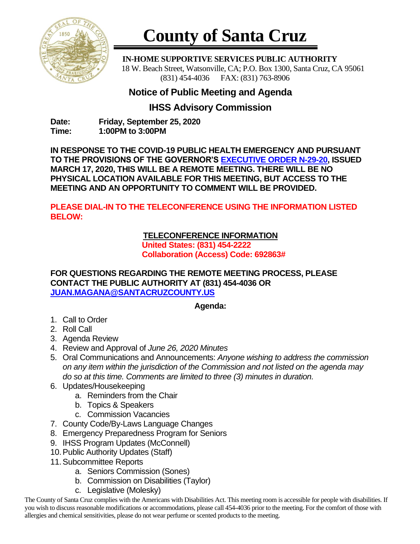

# **County of Santa Cruz**

 **IN-HOME SUPPORTIVE SERVICES PUBLIC AUTHORITY** 18 W. Beach Street, Watsonville, CA; P.O. Box 1300, Santa Cruz, CA 95061 (831) 454-4036 FAX: (831) 763-8906

## **Notice of Public Meeting and Agenda**

### **IHSS Advisory Commission**

**Date: Friday, September 25, 2020 Time: 1:00PM to 3:00PM**

**IN RESPONSE TO THE COVID-19 PUBLIC HEALTH EMERGENCY AND PURSUANT TO THE PROVISIONS OF THE GOVERNOR'S [EXECUTIVE ORDER N-29-20,](https://www.gov.ca.gov/wp-content/uploads/2020/03/3.17.20-N-29-20-EO.pdf) ISSUED MARCH 17, 2020, THIS WILL BE A REMOTE MEETING. THERE WILL BE NO PHYSICAL LOCATION AVAILABLE FOR THIS MEETING, BUT ACCESS TO THE MEETING AND AN OPPORTUNITY TO COMMENT WILL BE PROVIDED.**

**PLEASE DIAL-IN TO THE TELECONFERENCE USING THE INFORMATION LISTED BELOW:**

#### **TELECONFERENCE INFORMATION**

**United States: (831) 454-2222 Collaboration (Access) Code: 692863#**

**FOR QUESTIONS REGARDING THE REMOTE MEETING PROCESS, PLEASE CONTACT THE PUBLIC AUTHORITY AT (831) 454-4036 OR [JUAN.MAGANA@SANTACRUZCOUNTY.US](mailto:JUAN.MAGANA@SANTACRUZCOUNTY.US)**

#### **Agenda:**

- 1. Call to Order
- 2. Roll Call
- 3. Agenda Review
- 4. Review and Approval of *June 26, 2020 Minutes*
- 5. Oral Communications and Announcements: *Anyone wishing to address the commission on any item within the jurisdiction of the Commission and not listed on the agenda may do so at this time. Comments are limited to three (3) minutes in duration.*
- 6. Updates/Housekeeping
	- a. Reminders from the Chair
	- b. Topics & Speakers
	- c. Commission Vacancies
- 7. County Code/By-Laws Language Changes
- 8. Emergency Preparedness Program for Seniors
- 9. IHSS Program Updates (McConnell)
- 10.Public Authority Updates (Staff)
- 11.Subcommittee Reports
	- a. Seniors Commission (Sones)
	- b. Commission on Disabilities (Taylor)
	- c. Legislative (Molesky)

The County of Santa Cruz complies with the Americans with Disabilities Act. This meeting room is accessible for people with disabilities. If you wish to discuss reasonable modifications or accommodations, please call 454-4036 prior to the meeting. For the comfort of those with allergies and chemical sensitivities, please do not wear perfume or scented products to the meeting.